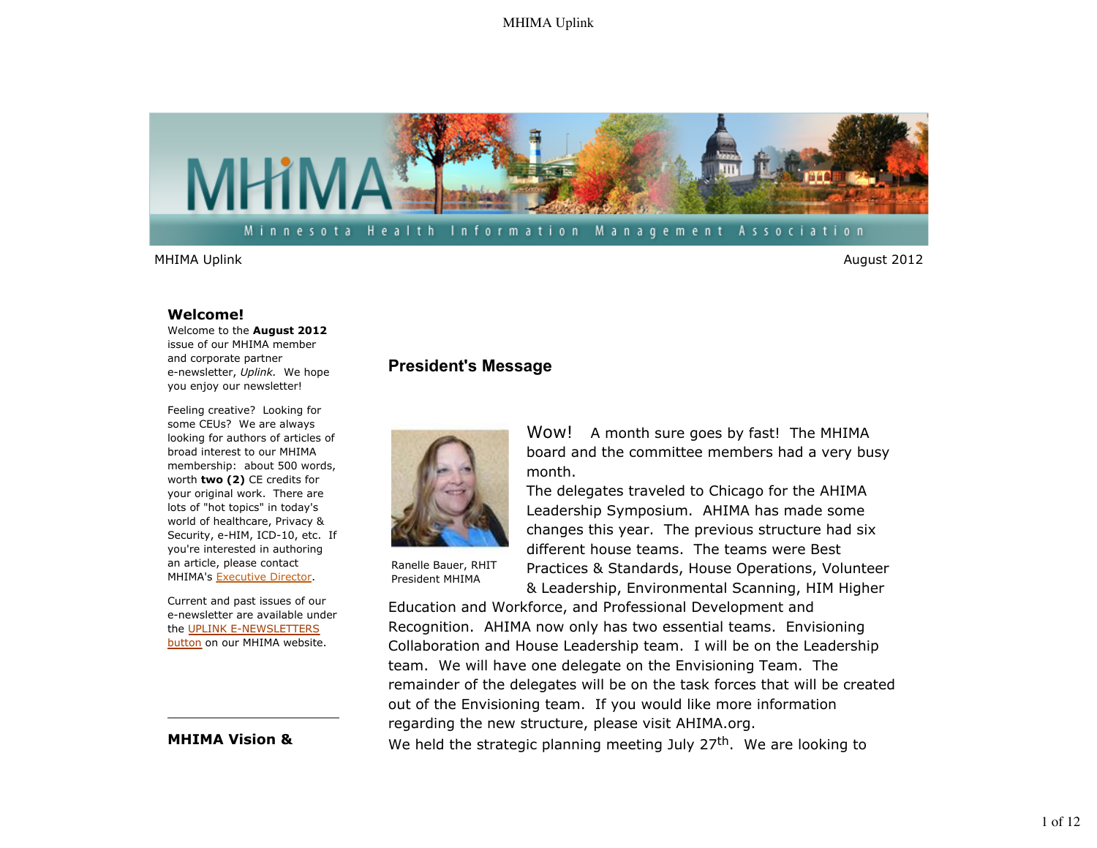

#### **Welcome!**

Welcome to the **August 2012** issue of our MHIMA member and corporate partner e-newsletter, *Uplink.* We hope you enjoy our newsletter!

Feeling creative? Looking for some CEUs? We are always looking for authors of articles of broad interest to our MHIMA membership: about 500 words, worth **two (2)** CE credits for your original work. There are lots of "hot topics" in today's world of healthcare, Privacy & Security, e-HIM, ICD-10, etc. If you're interested in authoring an article, please contact MHIMA's Executive Director.

Current and past issues of our e-newsletter are available under the UPLINK E-NEWSLETTERS button on our MHIMA website.

## **MHIMA Vision &**

## **President's Message**



Wow! A month sure goes by fast! The MHIMA board and the committee members had a very busy month.

The delegates traveled to Chicago for the AHIMA Leadership Symposium. AHIMA has made some changes this year. The previous structure had six different house teams. The teams were Best Practices & Standards, House Operations, Volunteer & Leadership, Environmental Scanning, HIM Higher

Ranelle Bauer, RHIT President MHIMA

Education and Workforce, and Professional Development and Recognition. AHIMA now only has two essential teams. Envisioning Collaboration and House Leadership team. I will be on the Leadership team. We will have one delegate on the Envisioning Team. The remainder of the delegates will be on the task forces that will be created out of the Envisioning team. If you would like more information regarding the new structure, please visit AHIMA.org. We held the strategic planning meeting July  $27<sup>th</sup>$ . We are looking to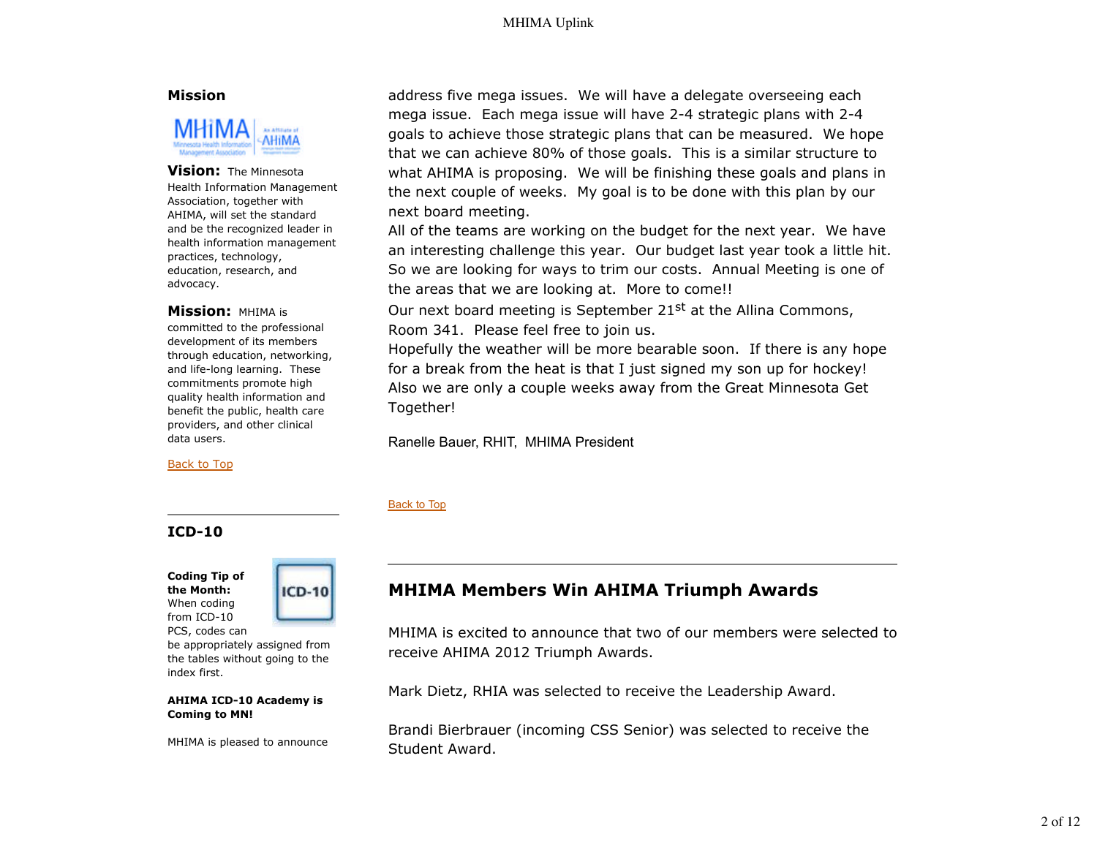### **Mission**



#### **Vision:** The Minnesota

Health Information Management Association, together with AHIMA, will set the standard and be the recognized leader in health information management practices, technology, education, research, and advocacy.

#### **Mission:** MHIMA is

committed to the professional development of its members through education, networking, and life-long learning. These commitments promote high quality health information and benefit the public, health care providers, and other clinical data users.

Back to Top

## **ICD-10**

**Coding Tip of the Month:** When coding from ICD-10 PCS, codes can



be appropriately assigned from the tables without going to the index first.

#### **AHIMA ICD-10 Academy is Coming to MN!**

MHIMA is pleased to announce

address five mega issues. We will have a delegate overseeing each mega issue. Each mega issue will have 2-4 strategic plans with 2-4 goals to achieve those strategic plans that can be measured. We hope that we can achieve 80% of those goals. This is a similar structure to what AHIMA is proposing. We will be finishing these goals and plans in the next couple of weeks. My goal is to be done with this plan by our next board meeting.

All of the teams are working on the budget for the next year. We have an interesting challenge this year. Our budget last year took a little hit. So we are looking for ways to trim our costs. Annual Meeting is one of the areas that we are looking at. More to come!!

Our next board meeting is September 21<sup>st</sup> at the Allina Commons, Room 341. Please feel free to join us.

Hopefully the weather will be more bearable soon. If there is any hope for a break from the heat is that I just signed my son up for hockey! Also we are only a couple weeks away from the Great Minnesota Get Together!

Ranelle Bauer, RHIT, MHIMA President

#### Back to Top

# **MHIMA Members Win AHIMA Triumph Awards**

MHIMA is excited to announce that two of our members were selected to receive AHIMA 2012 Triumph Awards.

Mark Dietz, RHIA was selected to receive the Leadership Award.

Brandi Bierbrauer (incoming CSS Senior) was selected to receive the Student Award.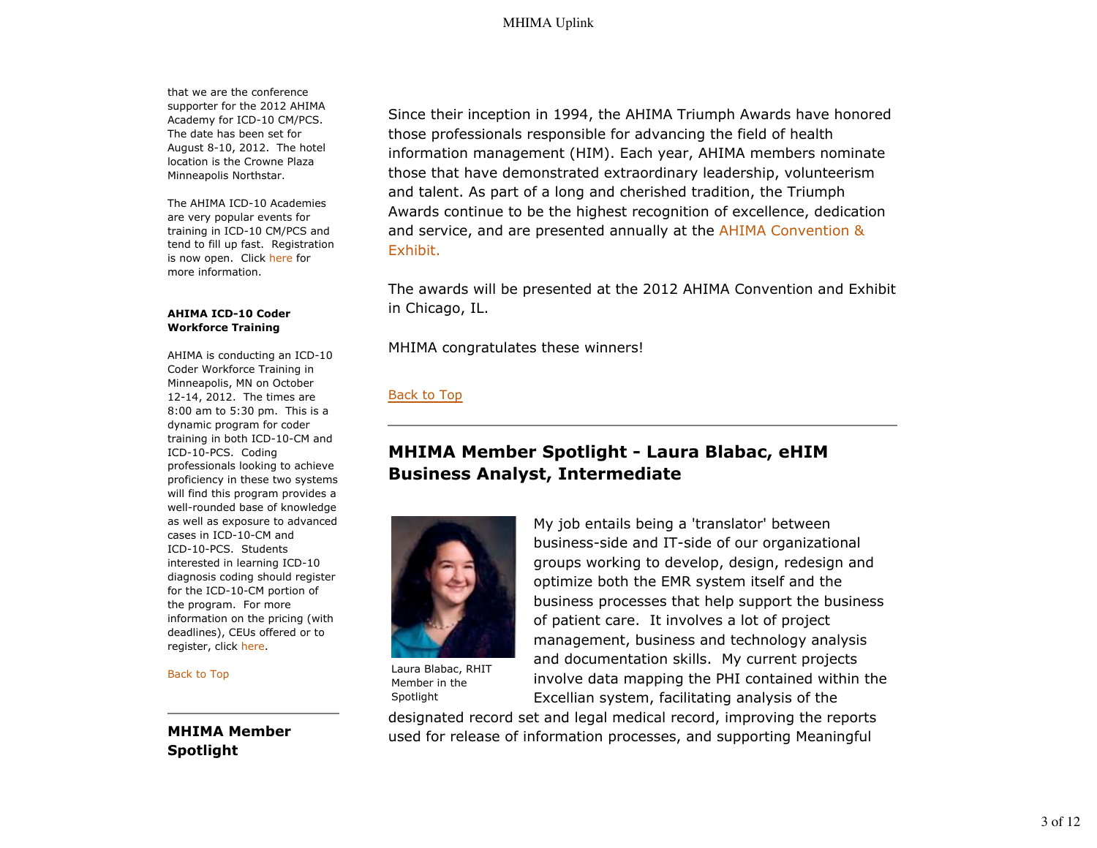that we are the conference supporter for the 2012 AHIMA Academy for ICD-10 CM/PCS. The date has been set for August 8-10, 2012. The hotel location is the Crowne Plaza Minneapolis Northstar.

The AHIMA ICD-10 Academies are very popular events for training in ICD-10 CM/PCS and tend to fill up fast. Registration is now open. Click here for more information.

#### **AHIMA ICD-10 Coder Workforce Training**

AHIMA is conducting an ICD-10 Coder Workforce Training in Minneapolis, MN on October 12-14, 2012. The times are 8:00 am to 5:30 pm. This is a dynamic program for coder training in both ICD-10-CM and ICD-10-PCS. Coding professionals looking to achieve proficiency in these two systems will find this program provides a well-rounded base of knowledge as well as exposure to advanced cases in ICD-10-CM and ICD-10-PCS. Students interested in learning ICD-10 diagnosis coding should register for the ICD-10-CM portion of the program. For more information on the pricing (with deadlines), CEUs offered or to register, click here.

Back to Top

**MHIMA Member Spotlight**

Since their inception in 1994, the AHIMA Triumph Awards have honored those professionals responsible for advancing the field of health information management (HIM). Each year, AHIMA members nominate those that have demonstrated extraordinary leadership, volunteerism and talent. As part of a long and cherished tradition, the Triumph Awards continue to be the highest recognition of excellence, dedication and service, and are presented annually at the AHIMA Convention & Exhibit.

The awards will be presented at the 2012 AHIMA Convention and Exhibit in Chicago, IL.

MHIMA congratulates these winners!

## Back to Top

# **MHIMA Member Spotlight - Laura Blabac, eHIM Business Analyst, Intermediate**



Laura Blabac, RHIT Member in the Spotlight

My job entails being a 'translator' between business-side and IT-side of our organizational groups working to develop, design, redesign and optimize both the EMR system itself and the business processes that help support the business of patient care. It involves a lot of project management, business and technology analysis and documentation skills. My current projects involve data mapping the PHI contained within the Excellian system, facilitating analysis of the

designated record set and legal medical record, improving the reports used for release of information processes, and supporting Meaningful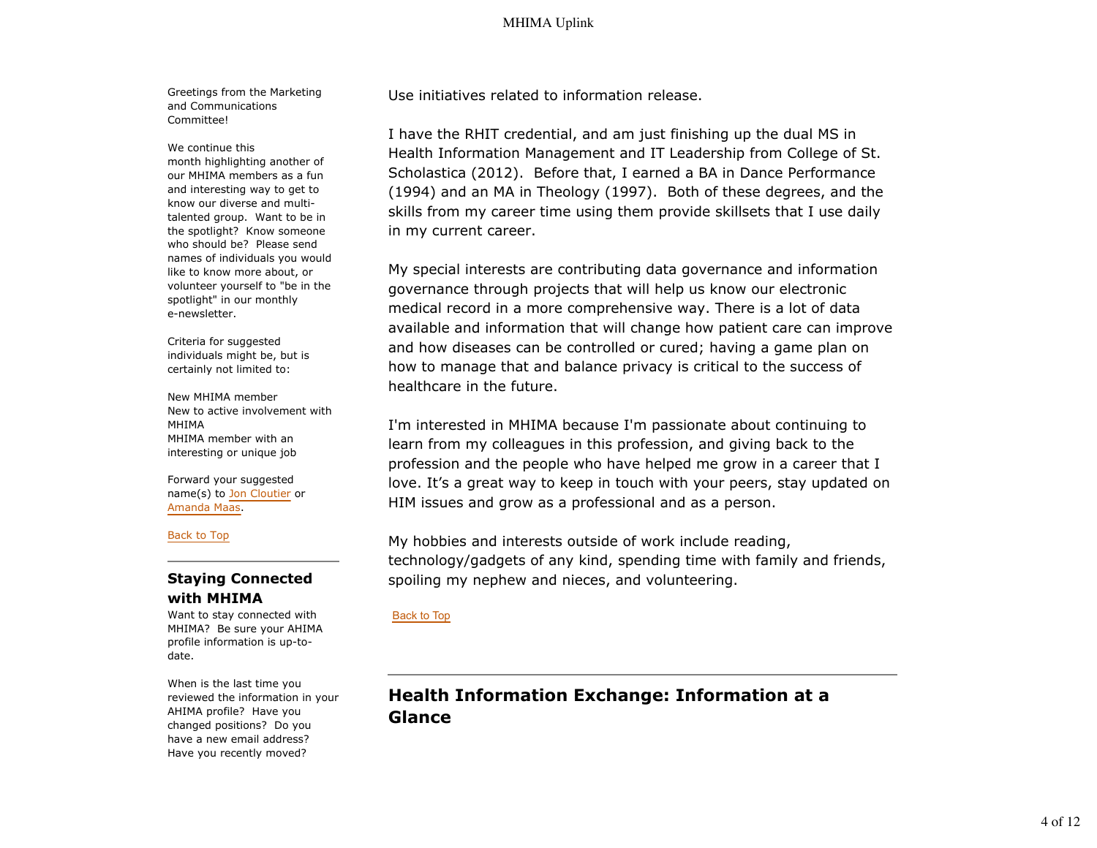Greetings from the Marketing and Communications Committee!

We continue this

month highlighting another of our MHIMA members as a fun and interesting way to get to know our diverse and multitalented group. Want to be in the spotlight? Know someone who should be? Please send names of individuals you would like to know more about, or volunteer yourself to "be in the spotlight" in our monthly e-newsletter.

Criteria for suggested individuals might be, but is certainly not limited to:

New MHIMA member New to active involvement with MHIMA MHIMA member with an interesting or unique job

Forward your suggested name(s) to Jon Cloutier or Amanda Maas.

Back to Top

## **Staying Connected with MHIMA**

Want to stay connected with MHIMA? Be sure your AHIMA profile information is up-todate.

When is the last time you reviewed the information in your AHIMA profile? Have you changed positions? Do you have a new email address? Have you recently moved?

Use initiatives related to information release.

I have the RHIT credential, and am just finishing up the dual MS in Health Information Management and IT Leadership from College of St. Scholastica (2012). Before that, I earned a BA in Dance Performance (1994) and an MA in Theology (1997). Both of these degrees, and the skills from my career time using them provide skillsets that I use daily in my current career.

My special interests are contributing data governance and information governance through projects that will help us know our electronic medical record in a more comprehensive way. There is a lot of data available and information that will change how patient care can improve and how diseases can be controlled or cured; having a game plan on how to manage that and balance privacy is critical to the success of healthcare in the future.

I'm interested in MHIMA because I'm passionate about continuing to learn from my colleagues in this profession, and giving back to the profession and the people who have helped me grow in a career that I love. It's a great way to keep in touch with your peers, stay updated on HIM issues and grow as a professional and as a person.

My hobbies and interests outside of work include reading, technology/gadgets of any kind, spending time with family and friends, spoiling my nephew and nieces, and volunteering.

### Back to Top

**Health Information Exchange: Information at a Glance**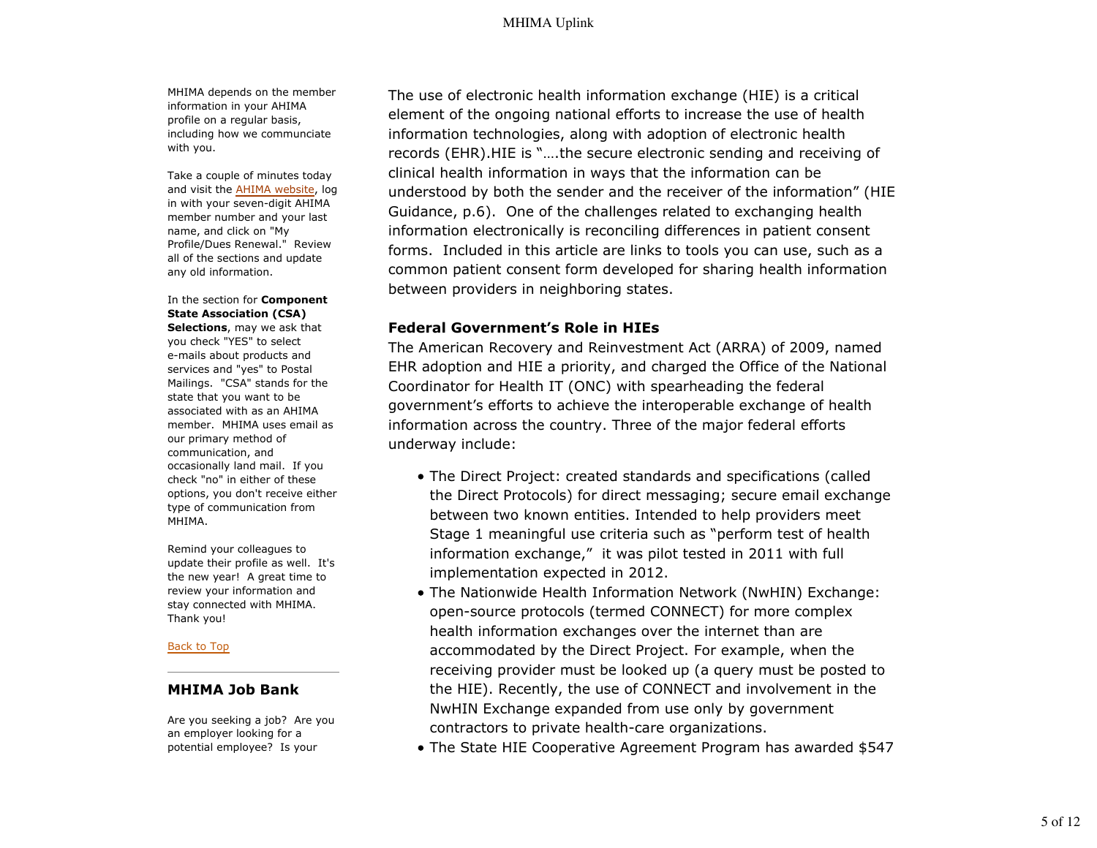MHIMA depends on the member information in your AHIMA profile on a regular basis, including how we communciate with you.

Take a couple of minutes today and visit the AHIMA website, log in with your seven-digit AHIMA member number and your last name, and click on "My Profile/Dues Renewal." Review all of the sections and update any old information.

#### In the section for **Component State Association (CSA) Selections**, may we ask that

you check "YES" to select e-mails about products and services and "yes" to Postal Mailings. "CSA" stands for the state that you want to be associated with as an AHIMA member. MHIMA uses email as our primary method of communication, and occasionally land mail. If you check "no" in either of these options, you don't receive either type of communication from MHIMA.

Remind your colleagues to update their profile as well. It's the new year! A great time to review your information and stay connected with MHIMA. Thank you!

#### Back to Top

## **MHIMA Job Bank**

Are you seeking a job? Are you an employer looking for a potential employee? Is your

The use of electronic health information exchange (HIE) is a critical element of the ongoing national efforts to increase the use of health information technologies, along with adoption of electronic health records (EHR).HIE is "….the secure electronic sending and receiving of clinical health information in ways that the information can be understood by both the sender and the receiver of the information" (HIE Guidance, p.6). One of the challenges related to exchanging health information electronically is reconciling differences in patient consent forms. Included in this article are links to tools you can use, such as a common patient consent form developed for sharing health information between providers in neighboring states.

## **Federal Government's Role in HIEs**

The American Recovery and Reinvestment Act (ARRA) of 2009, named EHR adoption and HIE a priority, and charged the Office of the National Coordinator for Health IT (ONC) with spearheading the federal government's efforts to achieve the interoperable exchange of health information across the country. Three of the major federal efforts underway include:

- The Direct Project: created standards and specifications (called the Direct Protocols) for direct messaging; secure email exchange between two known entities. Intended to help providers meet Stage 1 meaningful use criteria such as "perform test of health information exchange," it was pilot tested in 2011 with full implementation expected in 2012.
- The Nationwide Health Information Network (NwHIN) Exchange: open-source protocols (termed CONNECT) for more complex health information exchanges over the internet than are accommodated by the Direct Project. For example, when the receiving provider must be looked up (a query must be posted to the HIE). Recently, the use of CONNECT and involvement in the NwHIN Exchange expanded from use only by government contractors to private health-care organizations.
- The State HIE Cooperative Agreement Program has awarded \$547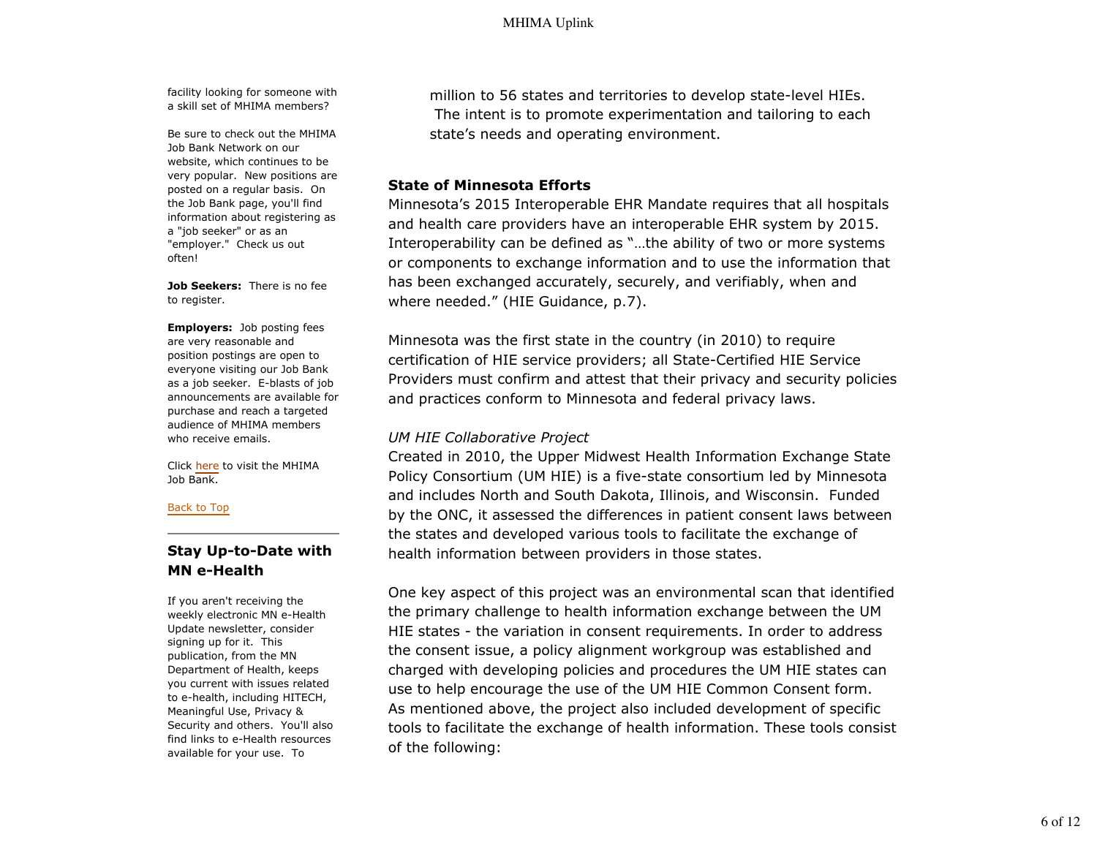facility looking for someone with a skill set of MHIMA members?

Be sure to check out the MHIMA Job Bank Network on our website, which continues to be very popular. New positions are posted on a regular basis. On the Job Bank page, you'll find information about registering as a "job seeker" or as an "employer." Check us out often!

**Job Seekers:** There is no fee to register.

**Employers:** Job posting fees are very reasonable and position postings are open to everyone visiting our Job Bank as a job seeker. E-blasts of job announcements are available for purchase and reach a targeted audience of MHIMA members who receive emails.

Click here to visit the MHIMA Job Bank.

Back to Top

## **Stay Up-to-Date with MN e-Health**

If you aren't receiving the weekly electronic MN e-Health Update newsletter, consider signing up for it. This publication, from the MN Department of Health, keeps you current with issues related to e-health, including HITECH, Meaningful Use, Privacy & Security and others. You'll also find links to e-Health resources available for your use. To

million to 56 states and territories to develop state-level HIEs. The intent is to promote experimentation and tailoring to each state's needs and operating environment.

## **State of Minnesota Efforts**

Minnesota's 2015 Interoperable EHR Mandate requires that all hospitals and health care providers have an interoperable EHR system by 2015. Interoperability can be defined as "…the ability of two or more systems or components to exchange information and to use the information that has been exchanged accurately, securely, and verifiably, when and where needed." (HIE Guidance, p.7).

Minnesota was the first state in the country (in 2010) to require certification of HIE service providers; all State-Certified HIE Service Providers must confirm and attest that their privacy and security policies and practices conform to Minnesota and federal privacy laws.

## *UM HIE Collaborative Project*

Created in 2010, the Upper Midwest Health Information Exchange State Policy Consortium (UM HIE) is a five-state consortium led by Minnesota and includes North and South Dakota, Illinois, and Wisconsin. Funded by the ONC, it assessed the differences in patient consent laws between the states and developed various tools to facilitate the exchange of health information between providers in those states.

One key aspect of this project was an environmental scan that identified the primary challenge to health information exchange between the UM HIE states - the variation in consent requirements. In order to address the consent issue, a policy alignment workgroup was established and charged with developing policies and procedures the UM HIE states can use to help encourage the use of the UM HIE Common Consent form. As mentioned above, the project also included development of specific tools to facilitate the exchange of health information. These tools consist of the following: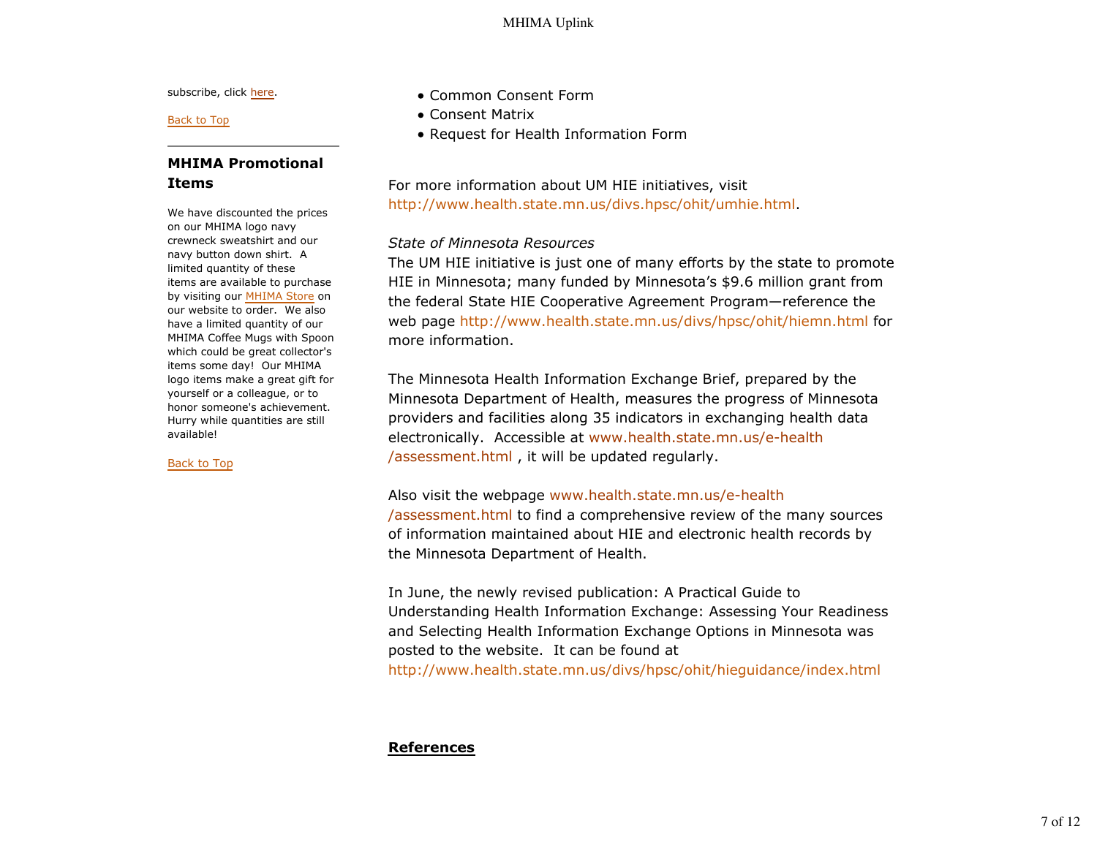subscribe, click here.

Back to Top

## **MHIMA Promotional Items**

We have discounted the prices on our MHIMA logo navy crewneck sweatshirt and our navy button down shirt. A limited quantity of these items are available to purchase by visiting our MHIMA Store on our website to order. We also have a limited quantity of our MHIMA Coffee Mugs with Spoon which could be great collector's items some day! Our MHIMA logo items make a great gift for yourself or a colleague, or to honor someone's achievement. Hurry while quantities are still available!

Back to Top

- Common Consent Form
- Consent Matrix
- Request for Health Information Form

For more information about UM HIE initiatives, visit http://www.health.state.mn.us/divs.hpsc/ohit/umhie.html.

## *State of Minnesota Resources*

The UM HIE initiative is just one of many efforts by the state to promote HIE in Minnesota; many funded by Minnesota's \$9.6 million grant from the federal State HIE Cooperative Agreement Program—reference the web page http://www.health.state.mn.us/divs/hpsc/ohit/hiemn.html for more information.

The Minnesota Health Information Exchange Brief, prepared by the Minnesota Department of Health, measures the progress of Minnesota providers and facilities along 35 indicators in exchanging health data electronically. Accessible at www.health.state.mn.us/e-health /assessment.html , it will be updated regularly.

## Also visit the webpage www.health.state.mn.us/e-health

/assessment.html to find a comprehensive review of the many sources of information maintained about HIE and electronic health records by the Minnesota Department of Health.

In June, the newly revised publication: A Practical Guide to Understanding Health Information Exchange: Assessing Your Readiness and Selecting Health Information Exchange Options in Minnesota was posted to the website. It can be found at http://www.health.state.mn.us/divs/hpsc/ohit/hieguidance/index.html

## **References**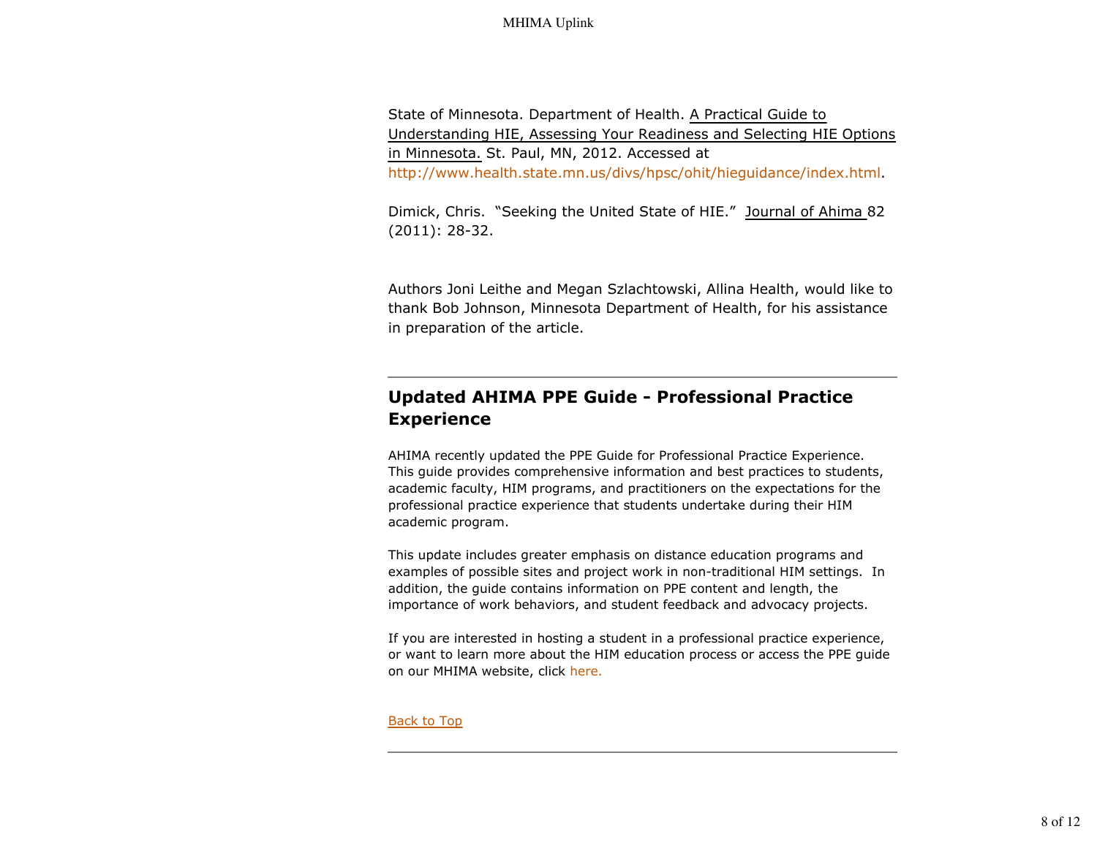State of Minnesota. Department of Health. A Practical Guide to Understanding HIE, Assessing Your Readiness and Selecting HIE Options in Minnesota. St. Paul, MN, 2012. Accessed at http://www.health.state.mn.us/divs/hpsc/ohit/hieguidance/index.html.

Dimick, Chris. "Seeking the United State of HIE." Journal of Ahima 82 (2011): 28-32.

Authors Joni Leithe and Megan Szlachtowski, Allina Health, would like to thank Bob Johnson, Minnesota Department of Health, for his assistance in preparation of the article.

# **Updated AHIMA PPE Guide - Professional Practice Experience**

AHIMA recently updated the PPE Guide for Professional Practice Experience. This guide provides comprehensive information and best practices to students, academic faculty, HIM programs, and practitioners on the expectations for the professional practice experience that students undertake during their HIM academic program.

This update includes greater emphasis on distance education programs and examples of possible sites and project work in non-traditional HIM settings. In addition, the guide contains information on PPE content and length, the importance of work behaviors, and student feedback and advocacy projects.

If you are interested in hosting a student in a professional practice experience, or want to learn more about the HIM education process or access the PPE guide on our MHIMA website, click here.

Back to Top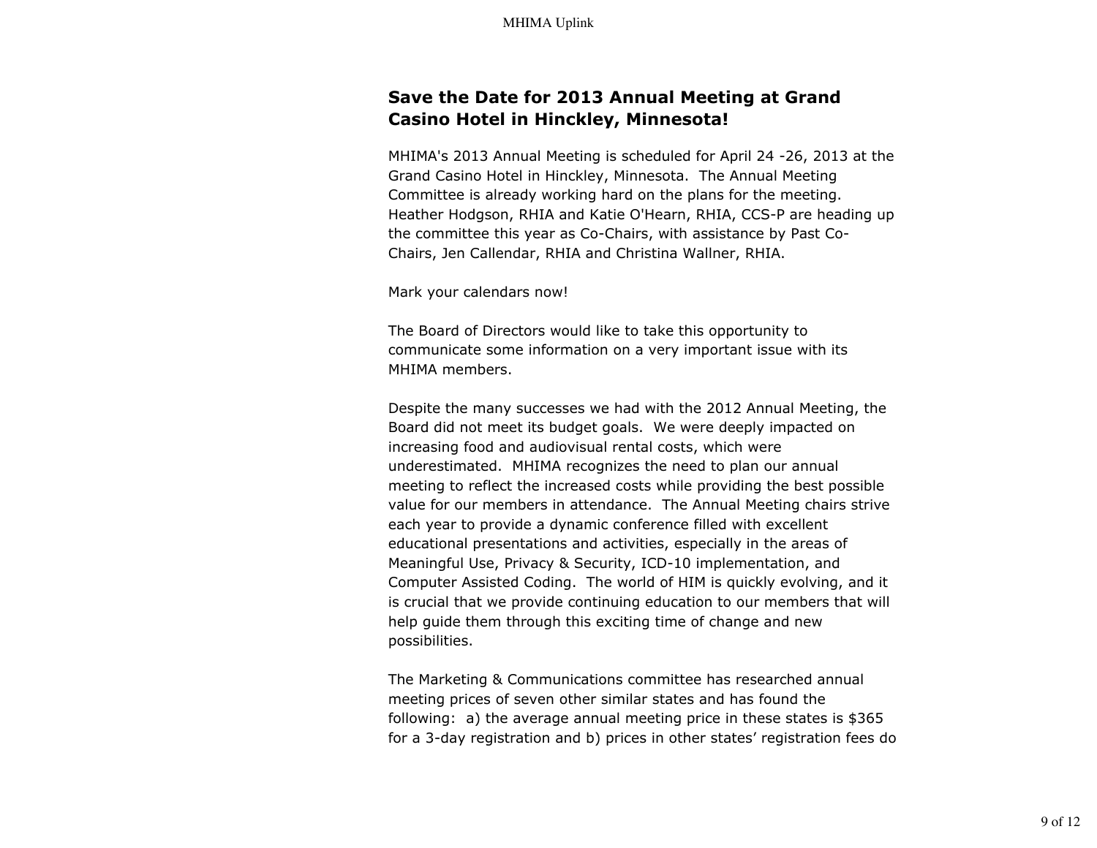# **Save the Date for 2013 Annual Meeting at Grand Casino Hotel in Hinckley, Minnesota!**

MHIMA's 2013 Annual Meeting is scheduled for April 24 -26, 2013 at the Grand Casino Hotel in Hinckley, Minnesota. The Annual Meeting Committee is already working hard on the plans for the meeting. Heather Hodgson, RHIA and Katie O'Hearn, RHIA, CCS-P are heading up the committee this year as Co-Chairs, with assistance by Past Co-Chairs, Jen Callendar, RHIA and Christina Wallner, RHIA.

Mark your calendars now!

The Board of Directors would like to take this opportunity to communicate some information on a very important issue with its MHIMA members.

Despite the many successes we had with the 2012 Annual Meeting, the Board did not meet its budget goals. We were deeply impacted on increasing food and audiovisual rental costs, which were underestimated. MHIMA recognizes the need to plan our annual meeting to reflect the increased costs while providing the best possible value for our members in attendance. The Annual Meeting chairs strive each year to provide a dynamic conference filled with excellent educational presentations and activities, especially in the areas of Meaningful Use, Privacy & Security, ICD-10 implementation, and Computer Assisted Coding. The world of HIM is quickly evolving, and it is crucial that we provide continuing education to our members that will help guide them through this exciting time of change and new possibilities.

The Marketing & Communications committee has researched annual meeting prices of seven other similar states and has found the following: a) the average annual meeting price in these states is \$365 for a 3-day registration and b) prices in other states' registration fees do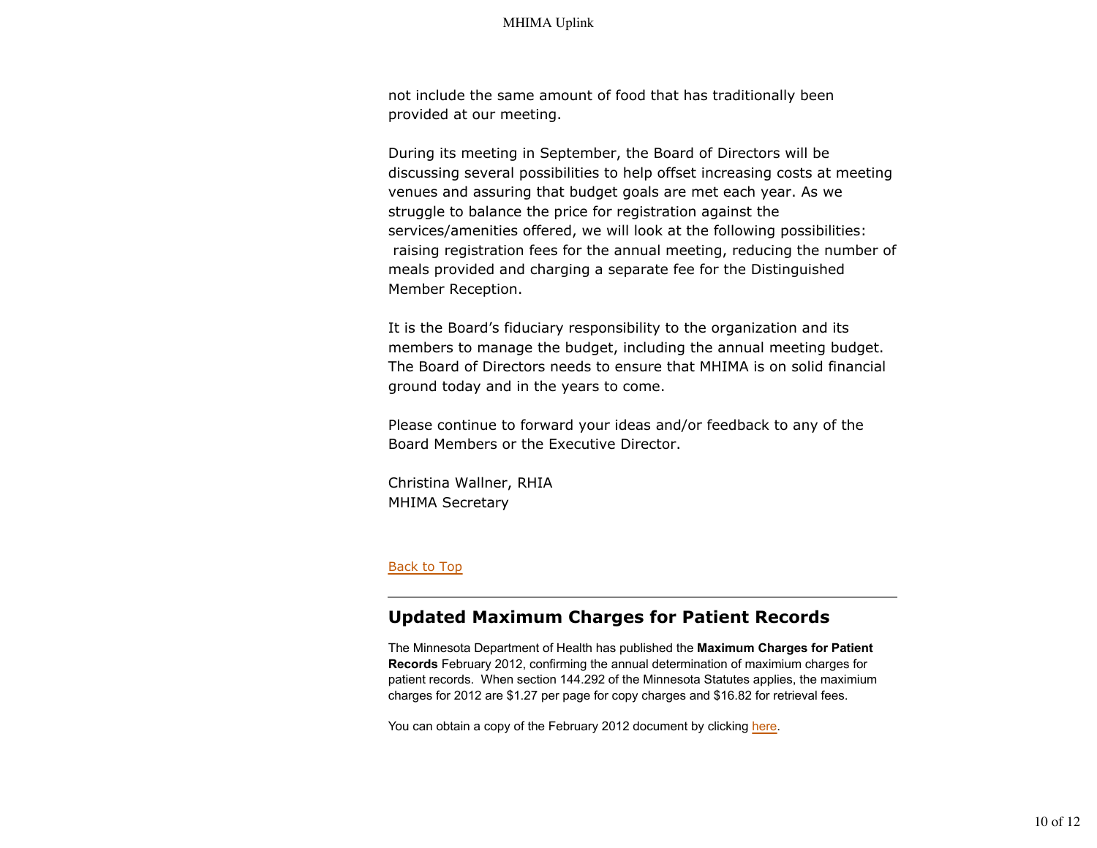not include the same amount of food that has traditionally been provided at our meeting.

During its meeting in September, the Board of Directors will be discussing several possibilities to help offset increasing costs at meeting venues and assuring that budget goals are met each year. As we struggle to balance the price for registration against the services/amenities offered, we will look at the following possibilities: raising registration fees for the annual meeting, reducing the number of meals provided and charging a separate fee for the Distinguished Member Reception.

It is the Board's fiduciary responsibility to the organization and its members to manage the budget, including the annual meeting budget. The Board of Directors needs to ensure that MHIMA is on solid financial ground today and in the years to come.

Please continue to forward your ideas and/or feedback to any of the Board Members or the Executive Director.

Christina Wallner, RHIA MHIMA Secretary

### Back to Top

## **Updated Maximum Charges for Patient Records**

The Minnesota Department of Health has published the **Maximum Charges for Patient Records** February 2012, confirming the annual determination of maximium charges for patient records. When section 144.292 of the Minnesota Statutes applies, the maximium charges for 2012 are \$1.27 per page for copy charges and \$16.82 for retrieval fees.

You can obtain a copy of the February 2012 document by clicking here.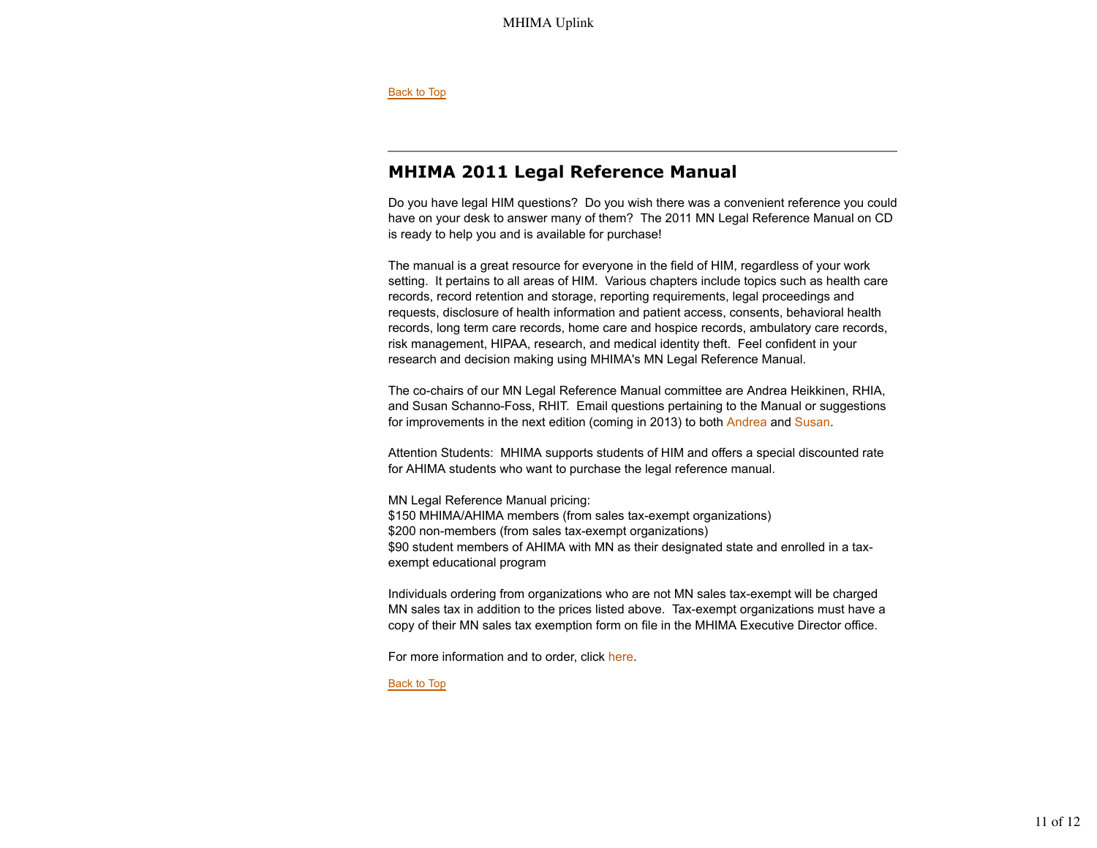Back to Top

# **MHIMA 2011 Legal Reference Manual**

Do you have legal HIM questions? Do you wish there was a convenient reference you could have on your desk to answer many of them? The 2011 MN Legal Reference Manual on CD is ready to help you and is available for purchase!

The manual is a great resource for everyone in the field of HIM, regardless of your work setting. It pertains to all areas of HIM. Various chapters include topics such as health care records, record retention and storage, reporting requirements, legal proceedings and requests, disclosure of health information and patient access, consents, behavioral health records, long term care records, home care and hospice records, ambulatory care records, risk management, HIPAA, research, and medical identity theft. Feel confident in your research and decision making using MHIMA's MN Legal Reference Manual.

The co-chairs of our MN Legal Reference Manual committee are Andrea Heikkinen, RHIA, and Susan Schanno-Foss, RHIT. Email questions pertaining to the Manual or suggestions for improvements in the next edition (coming in 2013) to both Andrea and Susan.

Attention Students: MHIMA supports students of HIM and offers a special discounted rate for AHIMA students who want to purchase the legal reference manual.

MN Legal Reference Manual pricing: \$150 MHIMA/AHIMA members (from sales tax-exempt organizations) \$200 non-members (from sales tax-exempt organizations) \$90 student members of AHIMA with MN as their designated state and enrolled in a taxexempt educational program

Individuals ordering from organizations who are not MN sales tax-exempt will be charged MN sales tax in addition to the prices listed above. Tax-exempt organizations must have a copy of their MN sales tax exemption form on file in the MHIMA Executive Director office.

For more information and to order, click here.

Back to Top